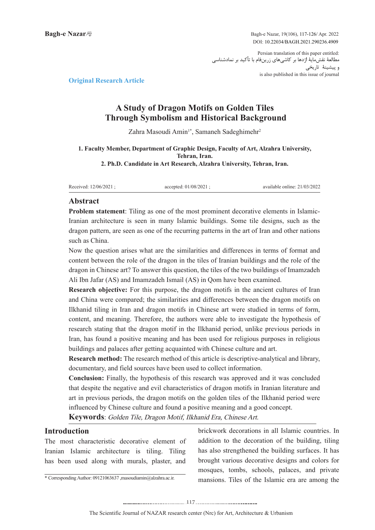Bagh-e Nazar, 19(106), 117-126/ Apr. 2022 DOI: 10.22034/BAGH.2021.290236.4909

Persian translation of this paper entitled: مطالعۀ نقشمایۀ اژدها بر کاشیهای زرینفام با تأکید بر نمادشناسی و پیشینۀ تاریخی is also published in this issue of journal

**Article Research Article** 

# A Study of Dragon Motifs on Golden Tiles **Through Symbolism and Historical Background**

Zahra Masoudi Amin<sup>1\*</sup>, Samaneh Sadeghimehr<sup>2</sup>

#### **1. Faculty Member, Department of Graphic Design, Faculty of Art, Alzahra University, Tehran**, Iran. 2. Ph.D. Candidate in Art Research, Alzahra University, Tehran, Iran.

Received: 12/06/2021 : accepted: 01/08/2021 : available online: 21/03/2022

### **Abstract**

Iranian architecture is seen in many Islamic buildings. Some tile designs, such as the **Problem statement:** Tiling as one of the most prominent decorative elements in Islamicdragon pattern, are seen as one of the recurring patterns in the art of Iran and other nations such as China.

Now the question arises what are the similarities and differences in terms of format and content between the role of the dragon in the tiles of Iranian buildings and the role of the dragon in Chinese art? To answer this question, the tiles of the two buildings of Imamzadeh Ali Ibn Jafar (AS) and Imamzadeh Ismail (AS) in Qom have been examined.

Research objective: For this purpose, the dragon motifs in the ancient cultures of Iran and China were compared; the similarities and differences between the dragon motifs on Ilkhanid tiling in Iran and dragon motifs in Chinese art were studied in terms of form, content, and meaning. Therefore, the authors were able to investigate the hypothesis of research stating that the dragon motif in the Ilkhanid period, unlike previous periods in Iran, has found a positive meaning and has been used for religious purposes in religious buildings and palaces after getting acquainted with Chinese culture and art.

**Research method:** The research method of this article is descriptive-analytical and library. documentary, and field sources have been used to collect information.

**Conclusion:** Finally, the hypothesis of this research was approved and it was concluded that despite the negative and evil characteristics of dragon motifs in Iranian literature and art in previous periods, the dragon motifs on the golden tiles of the Ilkhanid period were influenced by Chinese culture and found a positive meaning and a good concept.

Keywords: Golden Tile, Dragon Motif, Ilkhanid Era, Chinese Art.

## **Introduction**

The most characteristic decorative element of Iranian Islamic architecture is tiling. Tiling has been used along with murals, plaster, and

\* Corresponding Author: 09121063637 ,masoudiamin@alzahra.ac.ir.

brickwork decorations in all Islamic countries. In addition to the decoration of the building, tiling has also strengthened the building surfaces. It has brought various decorative designs and colors for mosques, tombs, schools, palaces, and private mansions. Tiles of the Islamic era are among the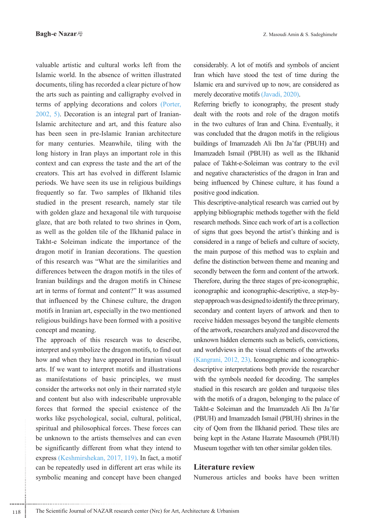valuable artistic and cultural works left from the Islamic world. In the absence of written illustrated documents, tiling has recorded a clear picture of how the arts such as painting and calligraphy evolved in terms of applying decorations and colors (Porter, Islamic architecture and art, and this feature also  $2002, 5$ ). Decoration is an integral part of Iranianhas been seen in pre-Islamic Iranian architecture for many centuries. Meanwhile, tiling with the long history in Iran plays an important role in this context and can express the taste and the art of the creators. This art has evolved in different Islamic periods. We have seen its use in religious buildings frequently so far. Two samples of Ilkhanid tiles studied in the present research, namely star tile with golden glaze and hexagonal tile with turquoise glaze, that are both related to two shrines in Qom, as well as the golden tile of the Ilkhanid palace in Takht-e Soleiman indicate the importance of the dragon motif in Iranian decorations. The question of this research was "What are the similarities and differences between the dragon motifs in the tiles of Iranian buildings and the dragon motifs in Chinese art in terms of format and content?" It was assumed that influenced by the Chinese culture, the dragon motifs in Iranian art, especially in the two mentioned religious buildings have been formed with a positive concept and meaning.

The approach of this research was to describe, interpret and symbolize the dragon motifs, to find out how and when they have appeared in Iranian visual arts. If we want to interpret motifs and illustrations as manifestations of basic principles, we must consider the artworks not only in their narrated style and content but also with indescribable unprovable forces that formed the special existence of the works like psychological, social, cultural, political, spiritual and philosophical forces. These forces can be unknown to the artists themselves and can even be significantly different from what they intend to express (Keshmirshekan, 2017, 119). In fact, a motif can be repeatedly used in different art eras while its symbolic meaning and concept have been changed considerably. A lot of motifs and symbols of ancient Iran which have stood the test of time during the Islamic era and survived up to now, are considered as merely decorative motifs (Javadi, 2020).

Referring briefly to iconography, the present study dealt with the roots and role of the dragon motifs in the two cultures of Iran and China. Eventually, it was concluded that the dragon motifs in the religious buildings of Imamzadeh Ali Ibn Ja'far (PBUH) and Imamzadeh Ismail (PBUH) as well as the Ilkhanid palace of Takht-e-Soleiman-was contrary to the evil and negative characteristics of the dragon in Iran and being influenced by Chinese culture, it has found a positive good indication.

This descriptive-analytical research was carried out by applying bibliographic methods together with the field research methods. Since each work of art is a collection of signs that goes beyond the artist's thinking and is considered in a range of beliefs and culture of society, the main purpose of this method was to explain and define the distinction between theme and meaning and secondly between the form and content of the artwork. Therefore, during the three stages of pre-iconographic, step approach was designed to identify the three primary, iconographic and iconographic-descriptive, a step-bysecondary and content layers of artwork and then to receive hidden messages beyond the tangible elements of the artwork, researchers analyzed and discovered the unknown hidden elements such as beliefs, convictions, and worldviews in the visual elements of the artworks descriptive interpretations both provide the researcher (Kangrani, 2012, 23). Iconographic and iconographicwith the symbols needed for decoding. The samples studied in this research are golden and turquoise tiles with the motifs of a dragon, belonging to the palace of Takht-e Soleiman and the Imamzadeh Ali Ibn Ja'far (PBUH) and Imamzadeh Ismail (PBUH) shrines in the city of Qom from the Ilkhanid period. These tiles are being kept in the Astane Hazrate Masoumeh (PBUH) Museum together with ten other similar golden tiles.

#### **Literature** review

Numerous articles and books have been written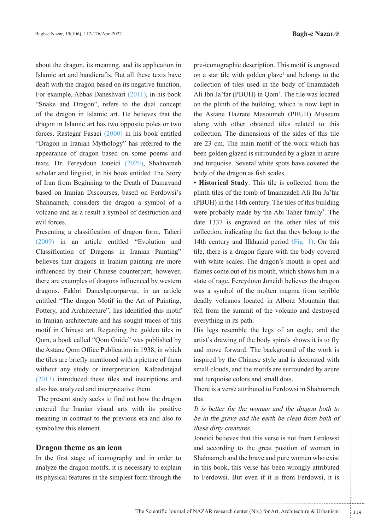about the dragon, its meaning, and its application in Islamic art and handicrafts. But all these texts have dealt with the dragon based on its negative function. For example, Abbas Daneshvari (2011), in his book "Snake and Dragon", refers to the dual concept of the dragon in Islamic art. He believes that the dragon in Islamic art has two opposite poles or two forces. Rastegar Fasaei  $(2000)$  in his book entitled "Dragon in Iranian Mythology" has referred to the appearance of dragon based on some poems and texts. Dr. Fereydoun Joneidi (2020), Shahnameh scholar and linguist, in his book entitled The Story of Iran from Beginning to the Death of Damavand based on Iranian Discourses, based on Ferdowsi's Shahnameh, considers the dragon a symbol of a volcano and as a result a symbol of destruction and evil forces.

Presenting a classification of dragon form, Taheri  $(2009)$  in an article entitled "Evolution and Classification of Dragons in Iranian Painting" believes that dragons in Iranian painting are more influenced by their Chinese counterpart, however, there are examples of dragons influenced by western dragons. Fakhri Daneshpourparvar, in an article entitled "The dragon Motif in the Art of Painting, Pottery, and Architecture", has identified this motif in Iranian architecture and has sought traces of this motif in Chinese art. Regarding the golden tiles in Qom, a book called "Qom Guide" was published by the Astane Qom Office Publication in 1938, in which the tiles are briefly mentioned with a picture of them without any study or interpretation. Kalbadinejad  $(2013)$  introduced these tiles and inscriptions and also has analyzed and interpretative them.

The present study seeks to find out how the dragon entered the Iranian visual arts with its positive meaning in contrast to the previous era and also to symbolize this element.

### **Dragon theme as an icon**

In the first stage of iconography and in order to analyze the dragon motifs, it is necessary to explain its physical features in the simplest form through the

pre-iconographic description. This motif is engraved on a star tile with golden glaze<sup>1</sup> and belongs to the collection of tiles used in the body of Imamzadeh Ali Ibn Ja'far (PBUH) in Qom<sup>2</sup>. The tile was located on the plinth of the building, which is now kept in the Astane Hazrate Masoumeh (PBUH) Museum along with other obtained tiles related to this collection. The dimensions of the sides of this tile are 23 cm. The main motif of the work which has been golden glazed is surrounded by a glaze in azure and turquoise. Several white spots have covered the body of the dragon as fish scales.

• Historical Study: This tile is collected from the plinth tiles of the tomb of Imamzadeh Ali Ibn Ja'far (PBUH) in the 14th century. The tiles of this building were probably made by the Abi Taher family<sup>3</sup>. The date  $1337$  is engraved on the other tiles of this collection, indicating the fact that they belong to the 14th century and Ilkhanid period  $(Fig. 1)$ . On this tile, there is a dragon figure with the body covered with white scales. The dragon's mouth is open and flames come out of his mouth, which shows him in a state of rage. Fereydoun Joneidi believes the dragon was a symbol of the molten magma from terrible deadly volcanos located in Alborz Mountain that fell from the summit of the volcano and destroyed everything in its path.

His legs resemble the legs of an eagle, and the artist's drawing of the body spirals shows it is to fly and move forward. The background of the work is inspired by the Chinese style and is decorated with small clouds, and the motifs are surrounded by azure and turquoise colors and small dots.

There is a verse attributed to Ferdowsi in Shahnameh that:

It is better for the woman and the dragon both to be in the grave and the earth be clean from both of these dirty creatures.

The set of the set of the set of the set of the set of the set of the set of the set of the set of the set of the brave and pure women who exist<br>is verse has been wrongly attributed<br>tut even if it is from Ferdowsi, it is<br>s Joneidi believes that this verse is not from Ferdowsi and according to the great position of women in Shahnameh and the brave and pure women who exist in this book, this verse has been wrongly attributed to Ferdowsi. But even if it is from Ferdowsi, it is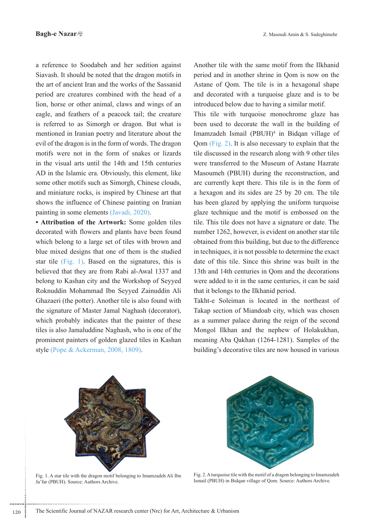a reference to Soodabeh and her sedition against Siavash. It should be noted that the dragon motifs in the art of ancient Iran and the works of the Sassanid period are creatures combined with the head of a lion, horse or other animal, claws and wings of an eagle, and feathers of a peacock tail; the creature is referred to as Simorgh or dragon. But what is mentioned in Iranian poetry and literature about the evil of the dragon is in the form of words. The dragon motifs were not in the form of snakes or lizards in the visual arts until the 14th and 15th centuries AD in the Islamic era. Obviously, this element, like some other motifs such as Simorgh, Chinese clouds, and miniature rocks, is inspired by Chinese art that shows the influence of Chinese painting on Iranian painting in some elements (Javadi, 2020).

• Attribution of the Artwork: Some golden tiles decorated with flowers and plants have been found which belong to a large set of tiles with brown and blue mixed designs that one of them is the studied star tile (Fig. 1). Based on the signatures, this is believed that they are from Rabi al-Awal 1337 and belong to Kashan city and the Workshop of Seyyed Roknuddin Mohammad Ibn Seyyed Zainuddin Ali Ghazaeri (the potter). Another tile is also found with the signature of Master Jamal Naghash (decorator), which probably indicates that the painter of these tiles is also Jamaluddine Naghash, who is one of the prominent painters of golden glazed tiles in Kashan style (Pope  $& Ackerman, 2008, 1809$ ).

Another tile with the same motif from the Ilkhanid period and in another shrine in Qom is now on the Astane of Qom. The tile is in a hexagonal shape and decorated with a turquoise glaze and is to be introduced below due to having a similar motif.

This tile with turquoise monochrome glaze has been used to decorate the wall in the building of Imamzadeh Ismail (PBUH)<sup>4</sup> in Bidqan village of Qom  $(Fig. 2)$ . It is also necessary to explain that the tile discussed in the research along with 9 other tiles were transferred to the Museum of Astane Hazrate Masoumeh (PBUH) during the reconstruction, and are currently kept there. This tile is in the form of a hexagon and its sides are 25 by 20 cm. The tile has been glazed by applying the uniform turquoise glaze technique and the motif is embossed on the tile. This tile does not have a signature or date. The number 1262, however, is evident on another star tile obtained from this building, but due to the difference in techniques, it is not possible to determine the exact date of this tile. Since this shrine was built in the 13th and 14th centuries in Qom and the decorations were added to it in the same centuries, it can be said that it belongs to the Ilkhanid period.

Takht-e Soleiman is located in the northeast of Takap section of Miandoab city, which was chosen as a summer palace during the reign of the second Mongol Ilkhan and the nephew of Holakukhan, meaning Aba Qakhan  $(1264-1281)$ . Samples of the building's decorative tiles are now housed in various



Fig. 1. A star tile with the dragon motif belonging to Imamzadeh Ali Ibn Ja'far (PBUH). Source: Authors Archive.



Fig. 2. A turquoise tile with the motif of a dragon belonging to Imamzadeh Ismail (PBUH) in Bidgan village of Oom. Source: Authors Archive.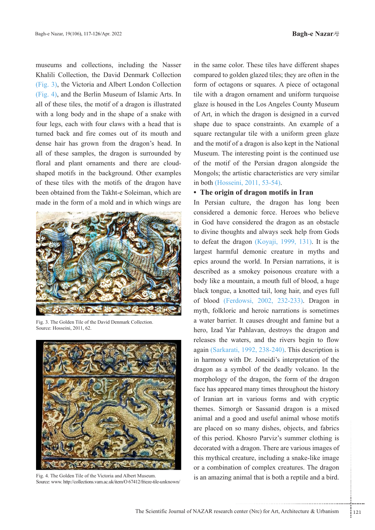**Bagh-e Nazar** 

museums and collections, including the Nasser Khalili Collection, the David Denmark Collection  $(Fig. 3)$ , the Victoria and Albert London Collection  $(Fig. 4)$ , and the Berlin Museum of Islamic Arts. In all of these tiles, the motif of a dragon is illustrated with a long body and in the shape of a snake with four legs, each with four claws with a head that is turned back and fire comes out of its mouth and dense hair has grown from the dragon's head. In all of these samples, the dragon is surrounded by shaped motifs in the background. Other examples floral and plant ornaments and there are cloudof these tiles with the motifs of the dragon have been obtained from the Takht-e Soleiman, which are made in the form of a mold and in which wings are



Fig. 3. The Golden Tile of the David Denmark Collection Source: Hosseini, 2011, 62.



Fig. 4. The Golden Tile of the Victoria and Albert Museum. Source: www. http://collections.vam.ac.uk/item/O 67412/frieze-tile-unknown/

in the same color. These tiles have different shapes compared to golden glazed tiles; they are often in the form of octagons or squares. A piece of octagonal tile with a dragon ornament and uniform turquoise glaze is housed in the Los Angeles County Museum of Art, in which the dragon is designed in a curved shape due to space constraints. An example of a square rectangular tile with a uniform green glaze and the motif of a dragon is also kept in the National Museum. The interesting point is the continued use of the motif of the Persian dragon alongside the Mongols; the artistic characteristics are very similar in both (Hosseini, 2011, 53-54).

# • The origin of dragon motifs in Iran

so many dishes, objects, and fabrics<br>Khosro Parviz's summer clothing is<br>a dragon. There are various images of<br>reature, including a snake-like image<br>on of complex creatures. The dragon<br>nimal that is both a reptile and a bir In Persian culture, the dragon has long been considered a demonic force. Heroes who believe in God have considered the dragon as an obstacle to divine thoughts and always seek help from Gods to defeat the dragon (Koyaji, 1999, 131). It is the largest harmful demonic creature in myths and epics around the world. In Persian narrations, it is described as a smokey poisonous creature with a body like a mountain, a mouth full of blood, a huge black tongue, a knotted tail, long hair, and eyes full of blood (Ferdowsi, 2002, 232-233). Dragon in myth, folkloric and heroic narrations is sometimes a water barrier. It causes drought and famine but a hero, Izad Yar Pahlavan, destroys the dragon and releases the waters, and the rivers begin to flow again (Sarkarati, 1992, 238-240). This description is in harmony with Dr. Joneidi's interpretation of the dragon as a symbol of the deadly volcano. In the morphology of the dragon, the form of the dragon face has appeared many times throughout the history of Iranian art in various forms and with cryptic themes. Simorgh or Sassanid dragon is a mixed animal and a good and useful animal whose motifs are placed on so many dishes, objects, and fabrics of this period. Khosro Parviz's summer clothing is decorated with a dragon. There are various images of this mythical creature, including a snake-like image or a combination of complex creatures. The dragon is an amazing animal that is both a reptile and a bird.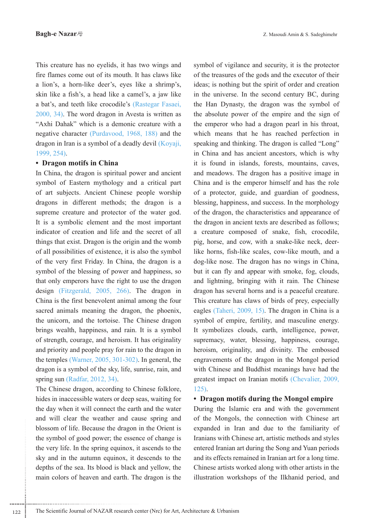This creature has no eyelids, it has two wings and fire flames come out of its mouth. It has claws like a lion's, a horn-like deer's, eyes like a shrimp's, skin like a fish's, a head like a camel's, a jaw like a bat's, and teeth like crocodile's (Rastegar Fasaei,  $2000, 34$ ). The word dragon in Avesta is written as "Axhi Dahak" which is a demonic creature with a negative character (Purdavood, 1968, 188) and the dragon in Iran is a symbol of a deadly devil (Koyaji, 1999, 254).

### • Dragon motifs in China

In China, the dragon is spiritual power and ancient symbol of Eastern mythology and a critical part of art subjects. Ancient Chinese people worship dragons in different methods; the dragon is a supreme creature and protector of the water god. It is a symbolic element and the most important indicator of creation and life and the secret of all things that exist. Dragon is the origin and the womb of all possibilities of existence, it is also the symbol of the very first Friday. In China, the dragon is a symbol of the blessing of power and happiness, so that only emperors have the right to use the dragon design (Fitzgerald, 2005, 266). The dragon in China is the first benevolent animal among the four sacred animals meaning the dragon, the phoenix, the unicorn, and the tortoise. The Chinese dragon brings wealth, happiness, and rain. It is a symbol of strength, courage, and heroism. It has originality and priority and people pray for rain to the dragon in the temples (Warner,  $2005$ ,  $301-302$ ). In general, the dragon is a symbol of the sky, life, sunrise, rain, and spring sun (Radfar, 2012, 34).

The Chinese dragon, according to Chinese folklore, hides in inaccessible waters or deep seas, waiting for the day when it will connect the earth and the water and will clear the weather and cause spring and blossom of life. Because the dragon in the Orient is the symbol of good power; the essence of change is the very life. In the spring equinox, it ascends to the sky and in the autumn equinox, it descends to the depths of the sea. Its blood is black and yellow, the main colors of heaven and earth. The dragon is the

symbol of vigilance and security, it is the protector of the treasures of the gods and the executor of their ideas; is nothing but the spirit of order and creation in the universe. In the second century BC, during the Han Dynasty, the dragon was the symbol of the absolute power of the empire and the sign of the emperor who had a dragon pearl in his throat, which means that he has reached perfection in speaking and thinking. The dragon is called "Long" in China and has ancient ancestors, which is why it is found in islands, forests, mountains, caves, and meadows. The dragon has a positive image in China and is the emperor himself and has the role of a protector, guide, and guardian of goodness, blessing, happiness, and success. In the morphology of the dragon, the characteristics and appearance of the dragon in ancient texts are described as follows; a creature composed of snake, fish, crocodile, pig, horse, and cow, with a snake-like neck, deerlike horns, fish-like scales, cow-like mouth, and a dog-like nose. The dragon has no wings in China, but it can fly and appear with smoke, fog, clouds, and lightning, bringing with it rain. The Chinese dragon has several horns and is a peaceful creature. This creature has claws of birds of prey, especially eagles (Taheri, 2009, 15). The dragon in China is a symbol of empire, fertility, and masculine energy. It symbolizes clouds, earth, intelligence, power, supremacy, water, blessing, happiness, courage, heroism, originality, and divinity. The embossed engravements of the dragon in the Mongol period with Chinese and Buddhist meanings have had the greatest impact on Iranian motifs (Chevalier, 2009,  $125$ ).

• Dragon motifs during the Mongol empire

During the Islamic era and with the government of the Mongols, the connection with Chinese art expanded in Iran and due to the familiarity of Iranians with Chinese art, artistic methods and styles entered Iranian art during the Song and Yuan periods and its effects remained in Iranian art for a long time. Chinese artists worked along with other artists in the illustration workshops of the Ilkhanid period, and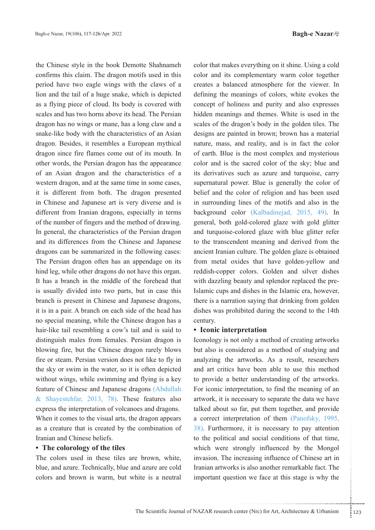the Chinese style in the book Demotte Shahnameh confirms this claim. The dragon motifs used in this period have two eagle wings with the claws of a lion and the tail of a huge snake, which is depicted as a flying piece of cloud. Its body is covered with scales and has two horns above its head. The Persian dragon has no wings or mane, has a long claw and a snake-like body with the characteristics of an Asian dragon. Besides, it resembles a European mythical dragon since fire flames come out of its mouth. In other words, the Persian dragon has the appearance of an Asian dragon and the characteristics of a western dragon, and at the same time in some cases, it is different from both. The dragon presented in Chinese and Japanese art is very diverse and is different from Iranian dragons, especially in terms of the number of fingers and the method of drawing. In general, the characteristics of the Persian dragon and its differences from the Chinese and Japanese dragons can be summarized in the following cases: The Persian dragon often has an appendage on its hind leg, while other dragons do not have this organ. It has a branch in the middle of the forehead that is usually divided into two parts, but in case this branch is present in Chinese and Japanese dragons, it is in a pair. A branch on each side of the head has no special meaning, while the Chinese dragon has a hair-like tail resembling a cow's tail and is said to distinguish males from females. Persian dragon is blowing fire, but the Chinese dragon rarely blows fire or steam. Persian version does not like to fly in the sky or swim in the water, so it is often depicted without wings, while swimming and flying is a key feature of Chinese and Japanese dragons (Abdullah & Shayestehfar, 2013, 78). These features also express the interpretation of volcanoes and dragons. When it comes to the visual arts, the dragon appears as a creature that is created by the combination of Iranian and Chinese beliefs.

### **• The colorology of the tiles**

The colors used in these tiles are brown, white, blue, and azure. Technically, blue and azure are cold colors and brown is warm, but white is a neutral color that makes everything on it shine. Using a cold color and its complementary warm color together creates a balanced atmosphere for the viewer. In defining the meanings of colors, white evokes the concept of holiness and purity and also expresses hidden meanings and themes. White is used in the scales of the dragon's body in the golden tiles. The designs are painted in brown; brown has a material nature, mass, and reality, and is in fact the color of earth. Blue is the most complex and mysterious color and is the sacred color of the sky; blue and its derivatives such as azure and turquoise, carry supernatural power. Blue is generally the color of belief and the color of religion and has been used in surrounding lines of the motifs and also in the background color (Kalbadinejad, 2015, 49). In general, both gold-colored glaze with gold glitter and turquoise-colored glaze with blue glitter refer to the transcendent meaning and derived from the ancient Iranian culture. The golden glaze is obtained from metal oxides that have golden-yellow and reddish-copper colors. Golden and silver dishes Islamic cups and dishes in the Islamic era, however, with dazzling beauty and splendor replaced the prethere is a narration saying that drinking from golden dishes was prohibited during the second to the 14th .century

#### **• Iconic interpretation**

The strategy is also and social conditions of that time,<br>trongly influenced by the Mongol<br>ncreasing influence of Chinese art in<br>s is also another remarkable fact. The<br>tion we face at this stage is why the<br>tion we face at t Iconology is not only a method of creating artworks but also is considered as a method of studying and analyzing the artworks. As a result, researchers and art critics have been able to use this method to provide a better understanding of the artworks. For iconic interpretation, to find the meaning of an artwork, it is necessary to separate the data we have talked about so far, put them together, and provide a correct interpretation of them (Panofsky, 1995,  $38$ ). Furthermore, it is necessary to pay attention to the political and social conditions of that time, which were strongly influenced by the Mongol invasion. The increasing influence of Chinese art in Iranian artworks is also another remarkable fact. The important question we face at this stage is why the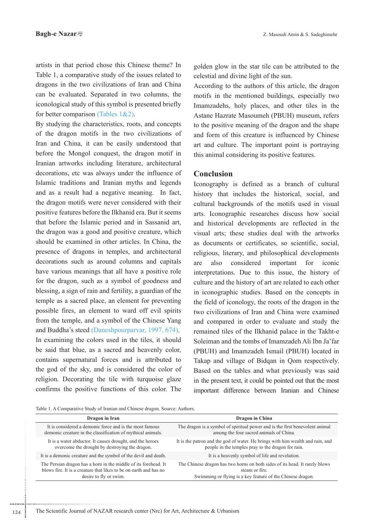artists in that period chose this Chinese theme? In Table 1, a comparative study of the issues related to dragons in the two civilizations of Iran and China can be evaluated. Separated in two columns, the iconological study of this symbol is presented briefly for better comparison (Tables  $1&2$ ).

By studying the characteristics, roots, and concepts of the dragon motifs in the two civilizations of Iran and China, it can be easily understood that before the Mongol conquest, the dragon motif in Iranian artworks including literature, architectural decorations, etc was always under the influence of Islamic traditions and Iranian myths and legends and as a result had a negative meaning. In fact, the dragon motifs were never considered with their positive features before the Ilkhanid era. But it seems that before the Islamic period and in Sassanid art, the dragon was a good and positive creature, which should be examined in other articles. In China, the presence of dragons in temples, and architectural decorations such as around columns and capitals have various meanings that all have a positive role for the dragon, such as a symbol of goodness and blessing, a sign of rain and fertility, a guardian of the temple as a sacred place, an element for preventing possible fires, an element to ward off evil spirits from the temple, and a symbol of the Chinese Yang and Buddha's steed (Daneshpourparvar, 1997, 674). In examining the colors used in the tiles, it should be said that blue, as a sacred and heavenly color, contains supernatural forces and is attributed to the god of the sky, and is considered the color of religion. Decorating the tile with turquoise glaze confirms the positive functions of this color. The

golden glow in the star tile can be attributed to the celestial and divine light of the sun.

According to the authors of this article, the dragon motifs in the mentioned buildings, especially two Imamzadehs, holy places, and other tiles in the Astane Hazrate Masoumeh (PBUH) museum, refers to the positive meaning of the dragon and the shape and form of this creature is influenced by Chinese art and culture. The important point is portraying this animal considering its positive features.

## **Conclusion**

Iconography is defined as a branch of cultural history that includes the historical, social, and cultural backgrounds of the motifs used in visual arts. Iconographic researches discuss how social and historical developments are reflected in the visual arts; these studies deal with the artworks as documents or certificates, so scientific, social, religious, literary, and philosophical developments considered are also important for iconic interpretations. Due to this issue, the history of culture and the history of art are related to each other in iconographic studies. Based on the concepts in the field of iconology, the roots of the dragon in the two civilizations of Iran and China were examined and compared in order to evaluate and study the remained tiles of the Ilkhanid palace in the Takht-e Soleiman and the tombs of Imamzadeh Ali Ibn Ja'far (PBUH) and Imamzadeh Ismail (PBUH) located in Takap and village of Bidqan in Qom respectively. Based on the tables and what previously was said in the present text, it could be pointed out that the most important difference between Iranian and Chinese

Table 1. A Comparative Study of Iranian and Chinese dragon. Source: Authors.

| Dragon in Iran                                                    | Dragon in China                                                                |
|-------------------------------------------------------------------|--------------------------------------------------------------------------------|
| It is considered a demonic force and is the most famous           | The dragon is a symbol of spiritual power and is the first benevolent animal   |
| demonic creature in the classification of mythical animals.       | among the four sacred animals of China.                                        |
| It is a water abductor. It causes drought, and the heroes         | It is the patron and the god of water. He brings with him wealth and rain, and |
| overcome the drought by destroying the dragon.                    | people in the temples pray to the dragon for rain.                             |
| It is a demonic creature and the symbol of the devil and death.   | It is a heavenly symbol of life and revelation.                                |
| The Persian dragon has a horn in the middle of its forehead. It   | The Chinese dragon has two horns on both sides of its head. It rarely blows    |
| blows fire. It is a creature that likes to be on earth and has no | steam or fire.                                                                 |
| desire to fly or swim.                                            | Swimming or flying is a key feature of the Chinese dragon.                     |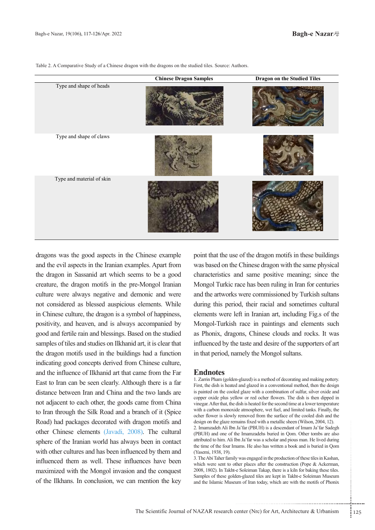|                           | <b>Chinese Dragon Samples</b> | <b>Dragon on the Studied Tiles</b> |
|---------------------------|-------------------------------|------------------------------------|
| Type and shape of heads   |                               |                                    |
| Type and shape of claws   |                               |                                    |
| Type and material of skin |                               |                                    |

Table 2. A Comparative Study of a Chinese dragon with the dragons on the studied tiles. Source: Authors.

dragons was the good aspects in the Chinese example and the evil aspects in the Iranian examples. Apart from the dragon in Sassanid art which seems to be a good creature, the dragon motifs in the pre-Mongol Iranian culture were always negative and demonic and were not considered as blessed auspicious elements. While in Chinese culture, the dragon is a symbol of happiness, positivity, and heaven, and is always accompanied by good and fertile rain and blessings. Based on the studied samples of tiles and studies on Ilkhanid art, it is clear that the dragon motifs used in the buildings had a function indicating good concepts derived from Chinese culture, and the influence of Ilkhanid art that came from the Far East to Iran can be seen clearly. Although there is a far distance between Iran and China and the two lands are not adjacent to each other, the goods came from China to Iran through the Silk Road and a branch of it (Spice Road) had packages decorated with dragon motifs and other Chinese elements (Javadi, 2008). The cultural sphere of the Iranian world has always been in contact with other cultures and has been influenced by them and influenced them as well. These influences have been maximized with the Mongol invasion and the conquest of the Ilkhans. In conclusion, we can mention the key point that the use of the dragon motifs in these buildings was based on the Chinese dragon with the same physical characteristics and same positive meaning; since the Mongol Turkic race has been ruling in Iran for centuries and the artworks were commissioned by Turkish sultans during this period, their racial and sometimes cultural elements were left in Iranian art, including Fig.s of the Mongol-Turkish race in paintings and elements such as Phonix, dragons, Chinese clouds and rocks. It was influenced by the taste and desire of the supporters of art in that period, namely the Mongol sultans.

#### **Endnotes**

1. Zarrin Pham (golden-glazed) is a method of decorating and making pottery. First, the dish is heated and glazed in a conventional method, then the design is painted on the cooled glaze with a combination of sulfur, silver oxide and copper oxide plus yellow or red ocher flowers. The dish is then dipped in vinegar. After that, the dish is heated for the second time at a lower temperature with a carbon monoxide atmosphere, wet fuel, and limited tanks. Finally, the ocher flower is slowly removed from the surface of the cooled dish and the design on the glaze remains fixed with a metallic sheen (Wilson, 2004, 12).

2. Imamzadeh Ali Ibn Ja'far (PBUH) is a descendant of Imam Ja'far Sadegh (PBUH) and one of the Imamzadehs buried in Qom. Other tombs are also attributed to him. Ali Ibn Ja'far was a scholar and pious man. He lived during the time of the four Imams. He also has written a book and is buried in Qom (Yasemi, 1938, 19).

nams fixed with a metallic sheen (Wilson, 2004, 12).<br>Ja'far (PBUH) is a descendant of Imam Ja'far Sadegh<br>he Imamzadehs buried in Qom. Other tombs are also<br>bh Ja'far was a scholar and pious man. He lived during<br>aams. He als 3. The Abi Taher family was engaged in the production of these tiles in Kashan, which were sent to other places after the construction (Pope & Ackerman, 2008, 1802). In Takht-e Soleiman Takap, there is a kiln for baking these tiles. Samples of these golden-glazed tiles are kept in Takht-e Soleiman Museum and the Islamic Museum of Iran today, which are with the motifs of Phonix